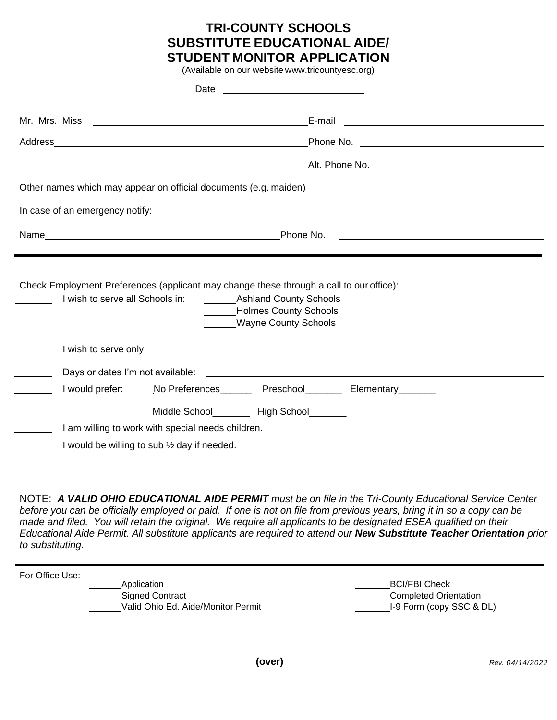# **TRI-COUNTY SCHOOLS SUBSTITUTE EDUCATIONAL AIDE/ STUDENT MONITOR APPLICATION**

(Available on our website www.tricountyesc.org)

|                                                                                         |                                                        | Alt. Phone No. 2006. 2006. 2007. Alt. Phone No. 2008. 2009. 2014. 2016. 2017. 2018. 2019. 2019. 2017. 2017. 20 |                                                                                                                                                                                                                                |  |
|-----------------------------------------------------------------------------------------|--------------------------------------------------------|----------------------------------------------------------------------------------------------------------------|--------------------------------------------------------------------------------------------------------------------------------------------------------------------------------------------------------------------------------|--|
|                                                                                         |                                                        |                                                                                                                |                                                                                                                                                                                                                                |  |
| In case of an emergency notify:                                                         |                                                        |                                                                                                                |                                                                                                                                                                                                                                |  |
|                                                                                         |                                                        |                                                                                                                |                                                                                                                                                                                                                                |  |
|                                                                                         |                                                        |                                                                                                                |                                                                                                                                                                                                                                |  |
| Check Employment Preferences (applicant may change these through a call to our office): |                                                        | Holmes County Schools<br><b>Wayne County Schools</b>                                                           | I wish to serve only: the same of the same of the same of the same of the same of the same of the same of the same of the same of the same of the same of the same of the same of the same of the same of the same of the same |  |
|                                                                                         |                                                        |                                                                                                                |                                                                                                                                                                                                                                |  |
|                                                                                         |                                                        |                                                                                                                | I would prefer: No Preferences _____ Preschool ______ Elementary _____                                                                                                                                                         |  |
|                                                                                         |                                                        | Middle School_________ High School_______                                                                      |                                                                                                                                                                                                                                |  |
|                                                                                         | I am willing to work with special needs children.      |                                                                                                                |                                                                                                                                                                                                                                |  |
|                                                                                         | I would be willing to sub $\frac{1}{2}$ day if needed. |                                                                                                                |                                                                                                                                                                                                                                |  |

NOTE: *A VALID OHIO EDUCATIONAL AIDE PERMIT must be on file in the Tri-County Educational Service Center before you can be officially employed or paid. If one is not on file from previous years, bring it in so a copy can be made and filed. You will retain the original. We require all applicants to be designated ESEA qualified on their Educational Aide Permit. All substitute applicants are required to attend our New Substitute Teacher Orientation prior to substituting.*

For Office Use:

Application **BCI/FBI Check** Signed Contract Completed Orientation Valid Ohio Ed. Aide/Monitor Permit Valid Ohio Ed. Aide/Monitor Permit